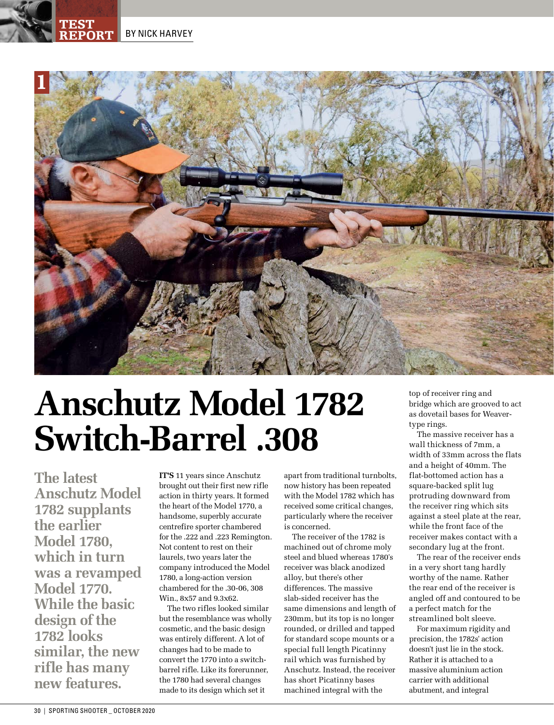**BY NICK HARVEY** 

TEST



# **Anschutz Model 1782 Switch-Barrel .308**

**The latest Anschutz Model 1782 supplants the earlier Model 1780, which in turn was a revamped Model 1770. While the basic design of the 1782 looks similar, the new rifle has many new features.** 

**IT'S** 11 years since Anschutz brought out their first new rifle action in thirty years. It formed the heart of the Model 1770, a handsome, superbly accurate centrefire sporter chambered for the .222 and .223 Remington. Not content to rest on their laurels, two years later the company introduced the Model 1780, a long-action version chambered for the .30-06, 308 Win., 8x57 and 9.3x62.

The two rifles looked similar but the resemblance was wholly cosmetic, and the basic design was entirely different. A lot of changes had to be made to convert the 1770 into a switchbarrel rifle. Like its forerunner, the 1780 had several changes made to its design which set it

apart from traditional turnbolts, now history has been repeated with the Model 1782 which has received some critical changes, particularly where the receiver is concerned.

The receiver of the 1782 is machined out of chrome moly steel and blued whereas 1780's receiver was black anodized alloy, but there's other differences. The massive slab-sided receiver has the same dimensions and length of 230mm, but its top is no longer rounded, or drilled and tapped for standard scope mounts or a special full length Picatinny rail which was furnished by Anschutz. Instead, the receiver has short Picatinny bases machined integral with the

top of receiver ring and bridge which are grooved to act as dovetail bases for Weavertype rings.

The massive receiver has a wall thickness of 7mm, a width of 33mm across the flats and a height of 40mm. The flat-bottomed action has a square-backed split lug protruding downward from the receiver ring which sits against a steel plate at the rear, while the front face of the receiver makes contact with a secondary lug at the front.

The rear of the receiver ends in a very short tang hardly worthy of the name. Rather the rear end of the receiver is angled off and contoured to be a perfect match for the streamlined bolt sleeve.

For maximum rigidity and precision, the 1782s' action doesn't just lie in the stock. Rather it is attached to a massive aluminium action carrier with additional abutment, and integral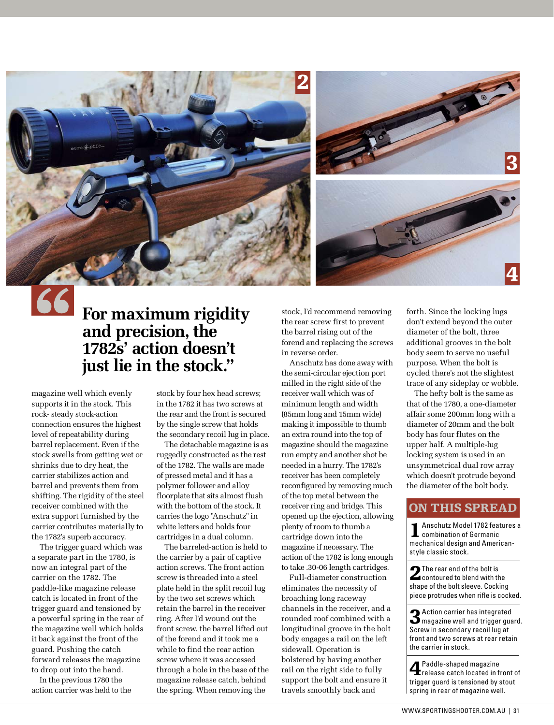

## **For maximum rigidity and precision, the 1782s' action doesn't just lie in the stock."**

magazine well which evenly supports it in the stock. This rock- steady stock-action connection ensures the highest level of repeatability during barrel replacement. Even if the stock swells from getting wet or shrinks due to dry heat, the carrier stabilizes action and barrel and prevents them from shifting. The rigidity of the steel receiver combined with the extra support furnished by the carrier contributes materially to the 1782's superb accuracy.

The trigger guard which was a separate part in the 1780, is now an integral part of the carrier on the 1782. The paddle-like magazine release catch is located in front of the trigger guard and tensioned by a powerful spring in the rear of the magazine well which holds it back against the front of the guard. Pushing the catch forward releases the magazine to drop out into the hand.

In the previous 1780 the action carrier was held to the

stock by four hex head screws; in the 1782 it has two screws at the rear and the front is secured by the single screw that holds the secondary recoil lug in place.

The detachable magazine is as ruggedly constructed as the rest of the 1782. The walls are made of pressed metal and it has a polymer follower and alloy floorplate that sits almost flush with the bottom of the stock. It carries the logo "Anschutz" in white letters and holds four cartridges in a dual column.

The barreled-action is held to the carrier by a pair of captive action screws. The front action screw is threaded into a steel plate held in the split recoil lug by the two set screws which retain the barrel in the receiver ring. After I'd wound out the front screw, the barrel lifted out of the forend and it took me a while to find the rear action screw where it was accessed through a hole in the base of the magazine release catch, behind the spring. When removing the

stock, I'd recommend removing the rear screw first to prevent the barrel rising out of the forend and replacing the screws in reverse order.

Anschutz has done away with the semi-circular ejection port milled in the right side of the receiver wall which was of minimum length and width (85mm long and 15mm wide) making it impossible to thumb an extra round into the top of magazine should the magazine run empty and another shot be needed in a hurry. The 1782's receiver has been completely reconfigured by removing much of the top metal between the receiver ring and bridge. This opened up the ejection, allowing plenty of room to thumb a cartridge down into the magazine if necessary. The action of the 1782 is long enough to take .30-06 length cartridges.

Full-diameter construction eliminates the necessity of broaching long raceway channels in the receiver, and a rounded roof combined with a longitudinal groove in the bolt body engages a rail on the left sidewall. Operation is bolstered by having another rail on the right side to fully support the bolt and ensure it travels smoothly back and

forth. Since the locking lugs don't extend beyond the outer diameter of the bolt, three additional grooves in the bolt body seem to serve no useful purpose. When the bolt is cycled there's not the slightest trace of any sideplay or wobble.

The hefty bolt is the same as that of the 1780, a one-diameter affair some 200mm long with a diameter of 20mm and the bolt body has four flutes on the upper half. A multiple-lug locking system is used in an unsymmetrical dual row array which doesn't protrude beyond the diameter of the bolt body.

#### ON THIS SPREAD

1Anschutz Model 1782 features a combination of Germanic mechanical design and Americanstyle classic stock.

2The rear end of the bolt is contoured to blend with the shape of the bolt sleeve. Cocking piece protrudes when rifle is cocked.

3Action carrier has integrated magazine well and trigger guard. Screw in secondary recoil lug at front and two screws at rear retain the carrier in stock.

4Paddle-shaped magazine release catch located in front of trigger guard is tensioned by stout spring in rear of magazine well.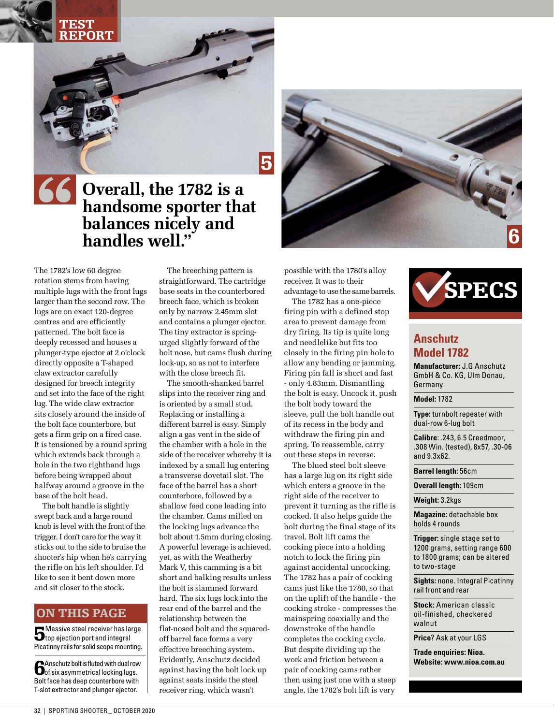#### TEST REPORT

5

## **Overall, the 1782 is a handsome sporter that balances nicely and handles well."**

The 1782's low 60 degree rotation stems from having multiple lugs with the front lugs larger than the second row. The lugs are on exact 120-degree centres and are efficiently patterned. The bolt face is deeply recessed and houses a plunger-type ejector at 2 o'clock directly opposite a T-shaped claw extractor carefully designed for breech integrity and set into the face of the right lug. The wide claw extractor sits closely around the inside of the bolt face counterbore, but gets a firm grip on a fired case. It is tensioned by a round spring which extends back through a hole in the two righthand lugs before being wrapped about halfway around a groove in the base of the bolt head.

The bolt handle is slightly swept back and a large round knob is level with the front of the trigger. I don't care for the way it sticks out to the side to bruise the shooter's hip when he's carrying the rifle on his left shoulder. I'd like to see it bent down more and sit closer to the stock.

#### ON THIS PAGE

**5** Massive steel receiver has large<br>top ejection port and integral Picatinny rails for solid scope mounting.

**C**Anschutz bolt is fluted with dual row of six asymmetrical locking lugs. Bolt face has deep counterbore with T-slot extractor and plunger ejector.

The breeching pattern is straightforward. The cartridge base seats in the counterbored breech face, which is broken only by narrow 2.45mm slot and contains a plunger ejector. The tiny extractor is springurged slightly forward of the bolt nose, but cams flush during lock-up, so as not to interfere with the close breech fit.

The smooth-shanked barrel slips into the receiver ring and is oriented by a small stud. Replacing or installing a different barrel is easy. Simply align a gas vent in the side of the chamber with a hole in the side of the receiver whereby it is indexed by a small lug entering a transverse dovetail slot. The face of the barrel has a short counterbore, followed by a shallow feed cone leading into the chamber. Cams milled on the locking lugs advance the bolt about 1.5mm during closing. A powerful leverage is achieved, yet, as with the Weatherby Mark V, this camming is a bit short and balking results unless the bolt is slammed forward hard. The six lugs lock into the rear end of the barrel and the relationship between the flat-nosed bolt and the squaredoff barrel face forms a very effective breeching system. Evidently, Anschutz decided against having the bolt lock up against seats inside the steel receiver ring, which wasn't



possible with the 1780's alloy receiver. It was to their advantage to use the same barrels.

The 1782 has a one-piece firing pin with a defined stop area to prevent damage from dry firing. Its tip is quite long and needlelike but fits too closely in the firing pin hole to allow any bending or jamming. Firing pin fall is short and fast - only 4.83mm. Dismantling the bolt is easy. Uncock it, push the bolt body toward the sleeve, pull the bolt handle out of its recess in the body and withdraw the firing pin and spring. To reassemble, carry out these steps in reverse.

The blued steel bolt sleeve has a large lug on its right side which enters a groove in the right side of the receiver to prevent it turning as the rifle is cocked. It also helps guide the bolt during the final stage of its travel. Bolt lift cams the cocking piece into a holding notch to lock the firing pin against accidental uncocking. The 1782 has a pair of cocking cams just like the 1780, so that on the uplift of the handle - the cocking stroke - compresses the mainspring coaxially and the downstroke of the handle completes the cocking cycle. But despite dividing up the work and friction between a pair of cocking cams rather then using just one with a steep angle, the 1782's bolt lift is very



### **Anschutz Model 1782**

**Manufacturer:** J.G Anschutz GmbH & Co. KG, Ulm Donau, Germany

#### **Model:** 1782

**Type:** turnbolt repeater with dual-row 6-lug bolt

**Calibre**: .243, 6.5 Creedmoor, .308 Win. (tested), 8x57, .30-06 and 9.3x62.

**Barrel length:** 56cm

**Overall length:** 109cm

**Weight:** 3.2kgs

**Magazine:** detachable box holds 4 rounds

**Trigger:** single stage set to 1200 grams, setting range 600 to 1800 grams; can be altered to two-stage

**Sights:** none. Integral Picatinny rail front and rear

**Stock:** American classic oil-finished, checkered walnut

**Price**? Ask at your LGS

**Trade enquiries: Nioa. Website: www.nioa.com.au**